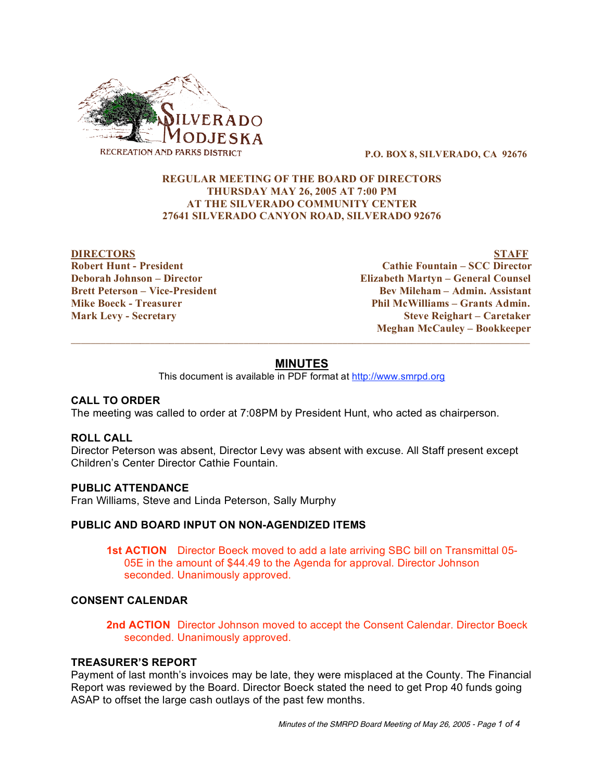

**P.O. BOX 8, SILVERADO, CA 92676**

# **REGULAR MEETING OF THE BOARD OF DIRECTORS THURSDAY MAY 26, 2005 AT 7:00 PM AT THE SILVERADO COMMUNITY CENTER 27641 SILVERADO CANYON ROAD, SILVERADO 92676**

**DIRECTORS STAFF Robert Hunt - President Cathie Fountain – SCC Director Deborah Johnson – Director Elizabeth Martyn – General Counsel Brett Peterson – Vice-President Bev Mileham – Admin. Assistant Mike Boeck - Treasurer Phil McWilliams – Grants Admin. Mark Levy - Secretary Steve Reighart – Caretaker Meghan McCauley – Bookkeeper**

# **MINUTES**

 $\overline{\phantom{a}}$  ,  $\overline{\phantom{a}}$  ,  $\overline{\phantom{a}}$  ,  $\overline{\phantom{a}}$  ,  $\overline{\phantom{a}}$  ,  $\overline{\phantom{a}}$  ,  $\overline{\phantom{a}}$  ,  $\overline{\phantom{a}}$  ,  $\overline{\phantom{a}}$  ,  $\overline{\phantom{a}}$  ,  $\overline{\phantom{a}}$  ,  $\overline{\phantom{a}}$  ,  $\overline{\phantom{a}}$  ,  $\overline{\phantom{a}}$  ,  $\overline{\phantom{a}}$  ,  $\overline{\phantom{a}}$ 

This document is available in PDF format at http://www.smrpd.org

### **CALL TO ORDER**

The meeting was called to order at 7:08PM by President Hunt, who acted as chairperson.

### **ROLL CALL**

Director Peterson was absent, Director Levy was absent with excuse. All Staff present except Children's Center Director Cathie Fountain.

# **PUBLIC ATTENDANCE**

Fran Williams, Steve and Linda Peterson, Sally Murphy

#### **PUBLIC AND BOARD INPUT ON NON-AGENDIZED ITEMS**

**1st ACTION** Director Boeck moved to add a late arriving SBC bill on Transmittal 05- 05E in the amount of \$44.49 to the Agenda for approval. Director Johnson seconded. Unanimously approved.

#### **CONSENT CALENDAR**

**2nd ACTION** Director Johnson moved to accept the Consent Calendar. Director Boeck seconded. Unanimously approved.

### **TREASURER'S REPORT**

Payment of last month's invoices may be late, they were misplaced at the County. The Financial Report was reviewed by the Board. Director Boeck stated the need to get Prop 40 funds going ASAP to offset the large cash outlays of the past few months.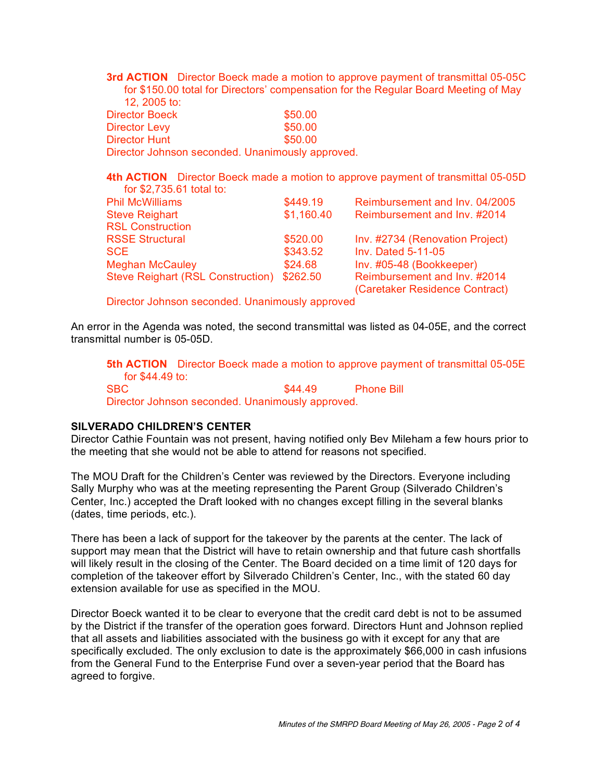**3rd ACTION** Director Boeck made a motion to approve payment of transmittal 05-05C for \$150.00 total for Directors' compensation for the Regular Board Meeting of May 12, 2005 to: Director Boeck \$50.00

Director Levy **\$50.00** Director Hunt \$50.00 Director Johnson seconded. Unanimously approved.

**4th ACTION** Director Boeck made a motion to approve payment of transmittal 05-05D for \$2,735.61 total to:

| <b>Phil McWilliams</b>            | \$449.19   | Reimbursement and Inv. 04/2005  |
|-----------------------------------|------------|---------------------------------|
| <b>Steve Reighart</b>             | \$1,160.40 | Reimbursement and Inv. #2014    |
| <b>RSL Construction</b>           |            |                                 |
| <b>RSSE Structural</b>            | \$520.00   | Inv. #2734 (Renovation Project) |
| SCE.                              | \$343.52   | <b>Inv. Dated 5-11-05</b>       |
| <b>Meghan McCauley</b>            | \$24.68    | Inv. #05-48 (Bookkeeper)        |
| Steve Reighart (RSL Construction) | \$262.50   | Reimbursement and Inv. #2014    |
|                                   |            | (Caretaker Residence Contract)  |

Director Johnson seconded. Unanimously approved

An error in the Agenda was noted, the second transmittal was listed as 04-05E, and the correct transmittal number is 05-05D.

**5th ACTION** Director Boeck made a motion to approve payment of transmittal 05-05E for \$44.49 to: SBC  $\begin{array}{cccc} $44.49 \end{array}$  Phone Bill Director Johnson seconded. Unanimously approved.

# **SILVERADO CHILDREN'S CENTER**

Director Cathie Fountain was not present, having notified only Bev Mileham a few hours prior to the meeting that she would not be able to attend for reasons not specified.

The MOU Draft for the Children's Center was reviewed by the Directors. Everyone including Sally Murphy who was at the meeting representing the Parent Group (Silverado Children's Center, Inc.) accepted the Draft looked with no changes except filling in the several blanks (dates, time periods, etc.).

There has been a lack of support for the takeover by the parents at the center. The lack of support may mean that the District will have to retain ownership and that future cash shortfalls will likely result in the closing of the Center. The Board decided on a time limit of 120 days for completion of the takeover effort by Silverado Children's Center, Inc., with the stated 60 day extension available for use as specified in the MOU.

Director Boeck wanted it to be clear to everyone that the credit card debt is not to be assumed by the District if the transfer of the operation goes forward. Directors Hunt and Johnson replied that all assets and liabilities associated with the business go with it except for any that are specifically excluded. The only exclusion to date is the approximately \$66,000 in cash infusions from the General Fund to the Enterprise Fund over a seven-year period that the Board has agreed to forgive.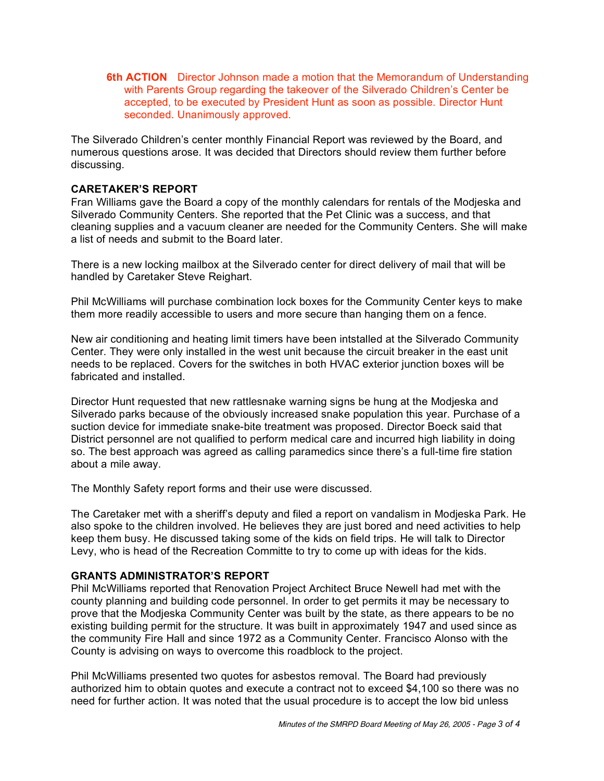**6th ACTION** Director Johnson made a motion that the Memorandum of Understanding with Parents Group regarding the takeover of the Silverado Children's Center be accepted, to be executed by President Hunt as soon as possible. Director Hunt seconded. Unanimously approved.

The Silverado Children's center monthly Financial Report was reviewed by the Board, and numerous questions arose. It was decided that Directors should review them further before discussing.

# **CARETAKER'S REPORT**

Fran Williams gave the Board a copy of the monthly calendars for rentals of the Modjeska and Silverado Community Centers. She reported that the Pet Clinic was a success, and that cleaning supplies and a vacuum cleaner are needed for the Community Centers. She will make a list of needs and submit to the Board later.

There is a new locking mailbox at the Silverado center for direct delivery of mail that will be handled by Caretaker Steve Reighart.

Phil McWilliams will purchase combination lock boxes for the Community Center keys to make them more readily accessible to users and more secure than hanging them on a fence.

New air conditioning and heating limit timers have been intstalled at the Silverado Community Center. They were only installed in the west unit because the circuit breaker in the east unit needs to be replaced. Covers for the switches in both HVAC exterior junction boxes will be fabricated and installed.

Director Hunt requested that new rattlesnake warning signs be hung at the Modjeska and Silverado parks because of the obviously increased snake population this year. Purchase of a suction device for immediate snake-bite treatment was proposed. Director Boeck said that District personnel are not qualified to perform medical care and incurred high liability in doing so. The best approach was agreed as calling paramedics since there's a full-time fire station about a mile away.

The Monthly Safety report forms and their use were discussed.

The Caretaker met with a sheriff's deputy and filed a report on vandalism in Modjeska Park. He also spoke to the children involved. He believes they are just bored and need activities to help keep them busy. He discussed taking some of the kids on field trips. He will talk to Director Levy, who is head of the Recreation Committe to try to come up with ideas for the kids.

### **GRANTS ADMINISTRATOR'S REPORT**

Phil McWilliams reported that Renovation Project Architect Bruce Newell had met with the county planning and building code personnel. In order to get permits it may be necessary to prove that the Modjeska Community Center was built by the state, as there appears to be no existing building permit for the structure. It was built in approximately 1947 and used since as the community Fire Hall and since 1972 as a Community Center. Francisco Alonso with the County is advising on ways to overcome this roadblock to the project.

Phil McWilliams presented two quotes for asbestos removal. The Board had previously authorized him to obtain quotes and execute a contract not to exceed \$4,100 so there was no need for further action. It was noted that the usual procedure is to accept the low bid unless